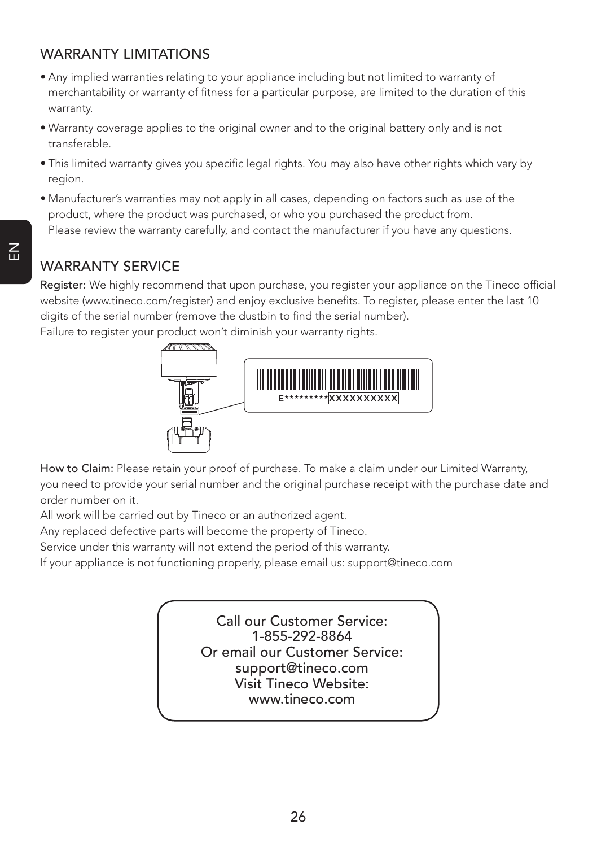## WARRANTY LIMITATIONS

- Any implied warranties relating to your appliance including but not limited to warranty of merchantability or warranty of fitness for a particular purpose, are limited to the duration of this warranty.
- Warranty coverage applies to the original owner and to the original battery only and is not transferable.
- This limited warranty gives you specific legal rights. You may also have other rights which vary by region.
- Manufacturer's warranties may not apply in all cases, depending on factors such as use of the product, where the product was purchased, or who you purchased the product from. Please review the warranty carefully, and contact the manufacturer if you have any questions.

## WARRANTY SERVICE

Register: We highly recommend that upon purchase, you register your appliance on the Tineco official website (www.tineco.com/register) and enjoy exclusive benefits. To register, please enter the last 10 digits of the serial number (remove the dustbin to find the serial number).

Failure to register your product won't diminish your warranty rights.



How to Claim: Please retain your proof of purchase. To make a claim under our Limited Warranty, you need to provide your serial number and the original purchase receipt with the purchase date and order number on it.

All work will be carried out by Tineco or an authorized agent.

Any replaced defective parts will become the property of Tineco.

Service under this warranty will not extend the period of this warranty.

If your appliance is not functioning properly, please email us: support@tineco.com

Call our Customer Service: 1-855-292-8864 Or email our Customer Service: support@tineco.com Visit Tineco Website: www.tineco.com